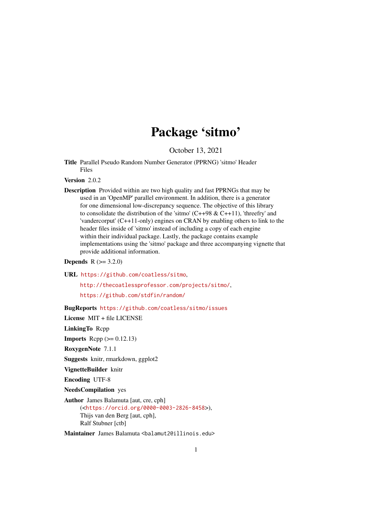## Package 'sitmo'

October 13, 2021

Title Parallel Pseudo Random Number Generator (PPRNG) 'sitmo' Header Files

Version 2.0.2

Description Provided within are two high quality and fast PPRNGs that may be used in an 'OpenMP' parallel environment. In addition, there is a generator for one dimensional low-discrepancy sequence. The objective of this library to consolidate the distribution of the 'sitmo'  $(C++98 \& C++11)$ , 'threefry' and 'vandercorput' (C++11-only) engines on CRAN by enabling others to link to the header files inside of 'sitmo' instead of including a copy of each engine within their individual package. Lastly, the package contains example implementations using the 'sitmo' package and three accompanying vignette that provide additional information.

**Depends**  $R (= 3.2.0)$ 

URL <https://github.com/coatless/sitmo>,

<http://thecoatlessprofessor.com/projects/sitmo/>, <https://github.com/stdfin/random/>

BugReports <https://github.com/coatless/sitmo/issues>

License MIT + file LICENSE

LinkingTo Rcpp

**Imports** Rcpp  $(>= 0.12.13)$ 

RoxygenNote 7.1.1

Suggests knitr, rmarkdown, ggplot2

VignetteBuilder knitr

Encoding UTF-8

NeedsCompilation yes

Author James Balamuta [aut, cre, cph] (<<https://orcid.org/0000-0003-2826-8458>>), Thijs van den Berg [aut, cph], Ralf Stubner [ctb]

Maintainer James Balamuta <br/>balamut2@illinois.edu>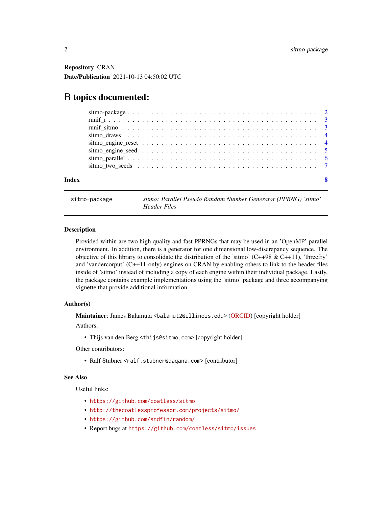<span id="page-1-0"></span>Repository CRAN Date/Publication 2021-10-13 04:50:02 UTC

### R topics documented:

| Index | $\mathbf{R}$ |
|-------|--------------|

sitmo-package *sitmo: Parallel Pseudo Random Number Generator (PPRNG) 'sitmo' Header Files*

#### Description

Provided within are two high quality and fast PPRNGs that may be used in an 'OpenMP' parallel environment. In addition, there is a generator for one dimensional low-discrepancy sequence. The objective of this library to consolidate the distribution of the 'sitmo'  $(C+498 \& C+11)$ , 'threefry' and 'vandercorput' (C++11-only) engines on CRAN by enabling others to link to the header files inside of 'sitmo' instead of including a copy of each engine within their individual package. Lastly, the package contains example implementations using the 'sitmo' package and three accompanying vignette that provide additional information.

#### Author(s)

Maintainer: James Balamuta <br/>balamut2@illinois.edu> [\(ORCID\)](https://orcid.org/0000-0003-2826-8458) [copyright holder]

Authors:

• Thijs van den Berg <thijs@sitmo.com> [copyright holder]

Other contributors:

• Ralf Stubner <ralf.stubner@daqana.com> [contributor]

#### See Also

Useful links:

- <https://github.com/coatless/sitmo>
- <http://thecoatlessprofessor.com/projects/sitmo/>
- <https://github.com/stdfin/random/>
- Report bugs at <https://github.com/coatless/sitmo/issues>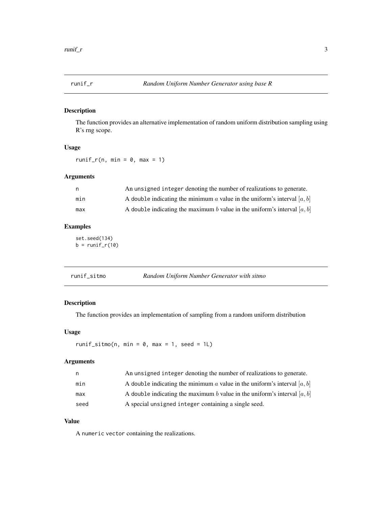<span id="page-2-0"></span>

#### Description

The function provides an alternative implementation of random uniform distribution sampling using R's rng scope.

#### Usage

runif\_r(n, min =  $0$ , max = 1)

#### Arguments

|     | An unsigned integer denoting the number of realizations to generate.       |
|-----|----------------------------------------------------------------------------|
| min | A double indicating the minimum a value in the uniform's interval $[a, b]$ |
| max | A double indicating the maximum b value in the uniform's interval $[a, b]$ |

#### Examples

set.seed(134)  $b = runif_r(10)$ 

| runif sitmo | Random Uniform Number Generator with sitmo |
|-------------|--------------------------------------------|
|             |                                            |

#### Description

The function provides an implementation of sampling from a random uniform distribution

#### Usage

runif\_sitmo(n, min =  $0$ , max = 1, seed = 1L)

#### Arguments

| n.   | An unsigned integer denoting the number of realizations to generate.       |
|------|----------------------------------------------------------------------------|
| min  | A double indicating the minimum a value in the uniform's interval $[a, b]$ |
| max  | A double indicating the maximum b value in the uniform's interval $[a, b]$ |
| seed | A special unsigned integer containing a single seed.                       |

#### Value

A numeric vector containing the realizations.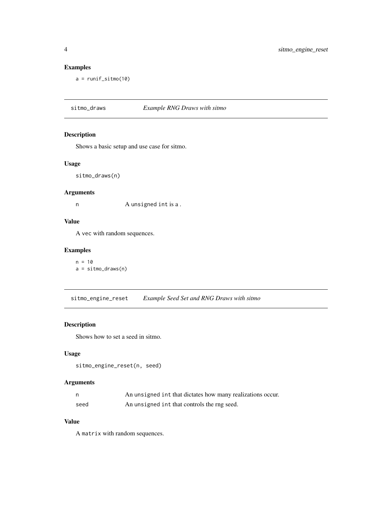#### Examples

 $a = runif\_sitmo(10)$ 

sitmo\_draws *Example RNG Draws with sitmo*

#### Description

Shows a basic setup and use case for sitmo.

#### Usage

sitmo\_draws(n)

#### Arguments

n A unsigned int is a .

#### Value

A vec with random sequences.

#### Examples

 $n = 10$ a = sitmo\_draws(n)

sitmo\_engine\_reset *Example Seed Set and RNG Draws with sitmo*

#### Description

Shows how to set a seed in sitmo.

#### Usage

```
sitmo_engine_reset(n, seed)
```
#### Arguments

|      | An unsigned int that dictates how many realizations occur. |
|------|------------------------------------------------------------|
| seed | An unsigned int that controls the rng seed.                |

#### Value

A matrix with random sequences.

<span id="page-3-0"></span>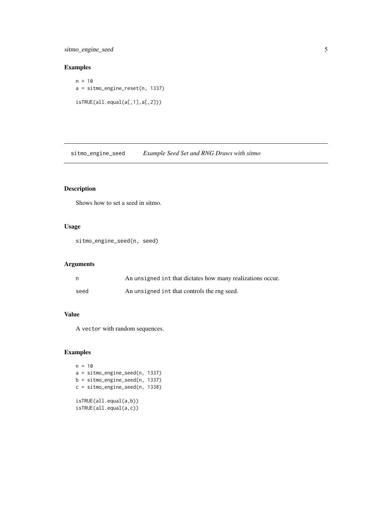<span id="page-4-0"></span>sitmo\_engine\_seed 5

#### Examples

 $n = 10$ a = sitmo\_engine\_reset(n, 1337) isTRUE(all.equal(a[,1],a[,2]))

sitmo\_engine\_seed *Example Seed Set and RNG Draws with sitmo*

#### Description

Shows how to set a seed in sitmo.

#### Usage

sitmo\_engine\_seed(n, seed)

#### Arguments

|      | An unsigned int that dictates how many realizations occur. |
|------|------------------------------------------------------------|
| seed | An unsigned int that controls the rng seed.                |

#### Value

A vector with random sequences.

#### Examples

```
n = 10a = sitmo_engine_seed(n, 1337)
b = sitmo_engine_seed(n, 1337)
c = sitmo_engine_seed(n, 1338)
isTRUE(all.equal(a,b))
isTRUE(all.equal(a,c))
```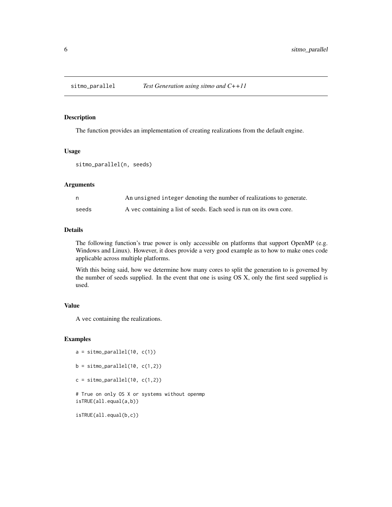<span id="page-5-0"></span>

#### Description

The function provides an implementation of creating realizations from the default engine.

#### Usage

```
sitmo_parallel(n, seeds)
```
#### Arguments

| n.    | An unsigned integer denoting the number of realizations to generate. |
|-------|----------------------------------------------------------------------|
| seeds | A vec containing a list of seeds. Each seed is run on its own core.  |

#### Details

The following function's true power is only accessible on platforms that support OpenMP (e.g. Windows and Linux). However, it does provide a very good example as to how to make ones code applicable across multiple platforms.

With this being said, how we determine how many cores to split the generation to is governed by the number of seeds supplied. In the event that one is using OS X, only the first seed supplied is used.

#### Value

A vec containing the realizations.

#### Examples

```
a = sitmo_parallel(10, c(1))
b = sitmo_parallel(10, c(1,2))
c = sitmo_parallel(10, c(1,2))
# True on only OS X or systems without openmp
isTRUE(all.equal(a,b))
```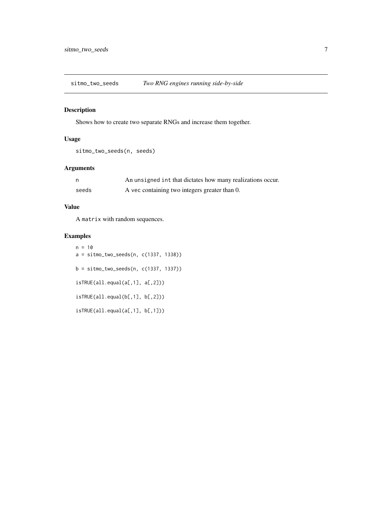<span id="page-6-0"></span>sitmo\_two\_seeds *Two RNG engines running side-by-side*

#### Description

Shows how to create two separate RNGs and increase them together.

#### Usage

```
sitmo_two_seeds(n, seeds)
```
#### Arguments

|       | An unsigned int that dictates how many realizations occur. |
|-------|------------------------------------------------------------|
| seeds | A vec containing two integers greater than 0.              |

#### Value

A matrix with random sequences.

#### Examples

 $n = 10$ a = sitmo\_two\_seeds(n, c(1337, 1338))  $b =$  sitmo\_two\_seeds(n, c(1337, 1337)) isTRUE(all.equal(a[,1], a[,2])) isTRUE(all.equal(b[,1], b[,2])) isTRUE(all.equal(a[,1], b[,1]))